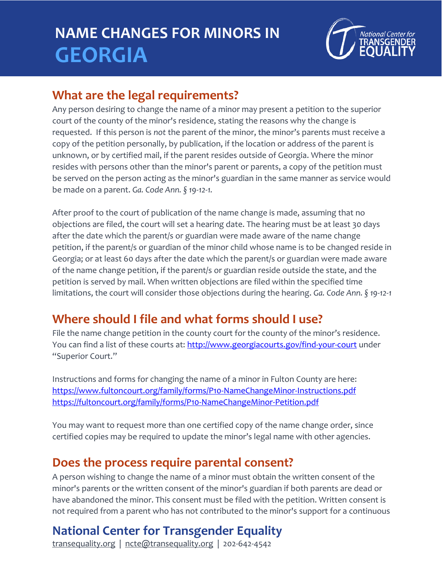# **NAME CHANGES FOR MINORS IN GEORGIA**



### **What are the legal requirements?**

Any person desiring to change the name of a minor may present a petition to the superior court of the county of the minor's residence, stating the reasons why the change is requested. If this person is *not* the parent of the minor, the minor's parents must receive a copy of the petition personally, by publication, if the location or address of the parent is unknown, or by certified mail, if the parent resides outside of Georgia. Where the minor resides with persons other than the minor's parent or parents, a copy of the petition must be served on the person acting as the minor's guardian in the same manner as service would be made on a parent. *Ga. Code Ann. § 19-12-1.*

After proof to the court of publication of the name change is made, assuming that no objections are filed, the court will set a hearing date. The hearing must be at least 30 days after the date which the parent/s or guardian were made aware of the name change petition, if the parent/s or guardian of the minor child whose name is to be changed reside in Georgia; or at least 60 days after the date which the parent/s or guardian were made aware of the name change petition, if the parent/s or guardian reside outside the state, and the petition is served by mail. When written objections are filed within the specified time limitations, the court will consider those objections during the hearing. *Ga. Code Ann. § 19-12-1*

### **Where should I file and what forms should I use?**

File the name change petition in the county court for the county of the minor's residence. You can find a list of these courts at: <http://www.georgiacourts.gov/find-your-court> under "Superior Court."

Instructions and forms for changing the name of a minor in Fulton County are here: <https://www.fultoncourt.org/family/forms/P10-NameChangeMinor-Instructions.pdf> <https://fultoncourt.org/family/forms/P10-NameChangeMinor-Petition.pdf>

You may want to request more than one certified copy of the name change order, since certified copies may be required to update the minor's legal name with other agencies.

### **Does the process require parental consent?**

A person wishing to change the name of a minor must obtain the written consent of the minor's parents or the written consent of the minor's guardian if both parents are dead or have abandoned the minor. This consent must be filed with the petition. Written consent is not required from a parent who has not contributed to the minor's support for a continuous

### **National Center for Transgender Equality**

transequality.org | ncte@transequality.org | 202-642-4542